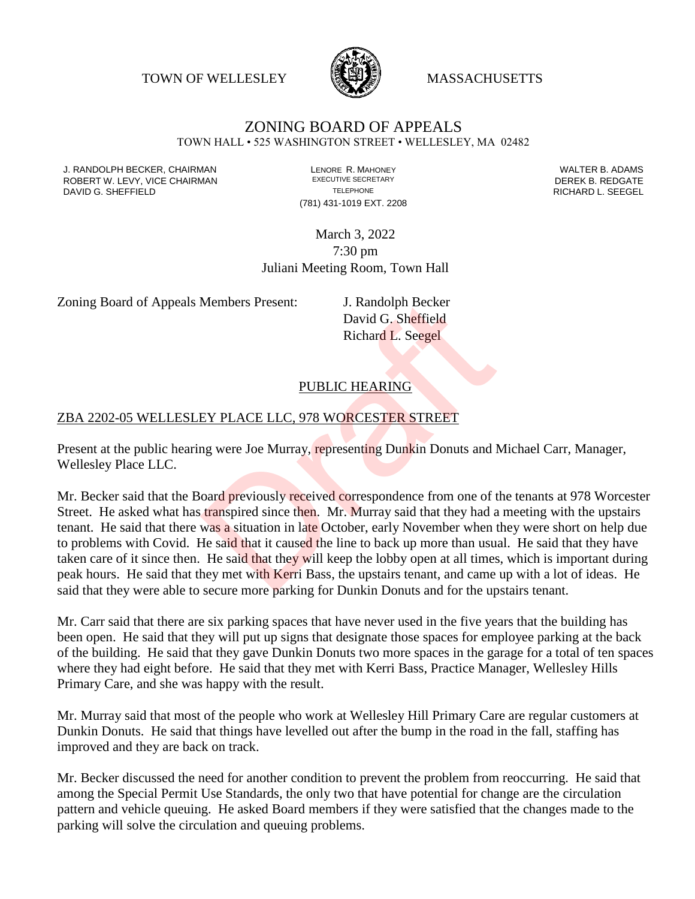TOWN OF WELLESLEY **WASSACHUSETTS** 



# ZONING BOARD OF APPEALS

TOWN HALL • 525 WASHINGTON STREET • WELLESLEY, MA 02482

J. RANDOLPH BECKER, CHAIRMAN LENORE R. MAHONEY LENORE R. MAHONEY LENORE R. ADAMS<br>ROBERT W. I FVY. VICE CHAIRMAN LEXECUTIVE SECRETARY LETTER TO RESERT A LATER B. REDGATE ROBERT W. LEVY, VICE CHAIRMAN EXECUTIVE SECRETARY THE SECRETARY DEREK B. REDGATE DAVID G. SHEFFIELD **TELEPHONE** TELEPHONE TELEPHONE TELEPHONE **RICHARD L. SEEGEL** 

(781) 431-1019 EXT. 2208

March 3, 2022 7:30 pm Juliani Meeting Room, Town Hall

Zoning Board of Appeals Members Present: J. Randolph Becker

David G. Sheffield Richard L. Seegel

### PUBLIC HEARING

#### ZBA 2202-05 WELLESLEY PLACE LLC, 978 WORCESTER STREET

Present at the public hearing were Joe Murray, representing Dunkin Donuts and Michael Carr, Manager, Wellesley Place LLC.

Mr. Becker said that the Board previously received correspondence from one of the tenants at 978 Worcester Street. He asked what has transpired since then. Mr. Murray said that they had a meeting with the upstairs tenant. He said that there was a situation in late October, early November when they were short on help due to problems with Covid. He said that it caused the line to back up more than usual. He said that they have taken care of it since then. He said that they will keep the lobby open at all times, which is important during peak hours. He said that they met with Kerri Bass, the upstairs tenant, and came up with a lot of ideas. He said that they were able to secure more parking for Dunkin Donuts and for the upstairs tenant. Members Present:<br>
David G. Sheffield<br>
Richard L. Seegel<br>
Richard L. Seegel<br>
Richard L. Seegel<br>
PUBLIC HEARING<br>
EY PLACE LLC, 978 WORCESTER STREET<br>
Ing were Joe Murray, representing Dunkin Donuts and I<br>
oard previously rece

Mr. Carr said that there are six parking spaces that have never used in the five years that the building has been open. He said that they will put up signs that designate those spaces for employee parking at the back of the building. He said that they gave Dunkin Donuts two more spaces in the garage for a total of ten spaces where they had eight before. He said that they met with Kerri Bass, Practice Manager, Wellesley Hills Primary Care, and she was happy with the result.

Mr. Murray said that most of the people who work at Wellesley Hill Primary Care are regular customers at Dunkin Donuts. He said that things have levelled out after the bump in the road in the fall, staffing has improved and they are back on track.

Mr. Becker discussed the need for another condition to prevent the problem from reoccurring. He said that among the Special Permit Use Standards, the only two that have potential for change are the circulation pattern and vehicle queuing. He asked Board members if they were satisfied that the changes made to the parking will solve the circulation and queuing problems.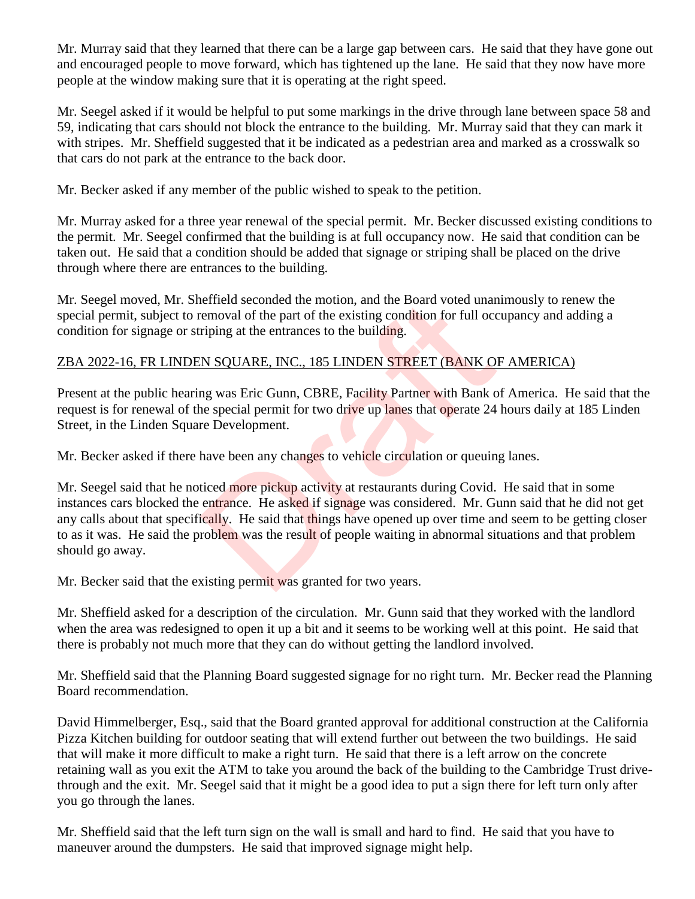Mr. Murray said that they learned that there can be a large gap between cars. He said that they have gone out and encouraged people to move forward, which has tightened up the lane. He said that they now have more people at the window making sure that it is operating at the right speed.

Mr. Seegel asked if it would be helpful to put some markings in the drive through lane between space 58 and 59, indicating that cars should not block the entrance to the building. Mr. Murray said that they can mark it with stripes. Mr. Sheffield suggested that it be indicated as a pedestrian area and marked as a crosswalk so that cars do not park at the entrance to the back door.

Mr. Becker asked if any member of the public wished to speak to the petition.

Mr. Murray asked for a three year renewal of the special permit. Mr. Becker discussed existing conditions to the permit. Mr. Seegel confirmed that the building is at full occupancy now. He said that condition can be taken out. He said that a condition should be added that signage or striping shall be placed on the drive through where there are entrances to the building.

Mr. Seegel moved, Mr. Sheffield seconded the motion, and the Board voted unanimously to renew the special permit, subject to removal of the part of the existing condition for full occupancy and adding a condition for signage or striping at the entrances to the building.

### ZBA 2022-16, FR LINDEN SQUARE, INC., 185 LINDEN STREET (BANK OF AMERICA)

Present at the public hearing was Eric Gunn, CBRE, Facility Partner with Bank of America. He said that the request is for renewal of the special permit for two drive up lanes that operate 24 hours daily at 185 Linden Street, in the Linden Square Development.

Mr. Becker asked if there have been any changes to vehicle circulation or queuing lanes.

Mr. Seegel said that he noticed more pickup activity at restaurants during Covid. He said that in some instances cars blocked the entrance. He asked if signage was considered. Mr. Gunn said that he did not get any calls about that specifically. He said that things have opened up over time and seem to be getting closer to as it was. He said the problem was the result of people waiting in abnormal situations and that problem should go away. etheld seconded the motion, and the Board voted unam<br>emoval of the part of the existing condition for full occ<br>riping at the entrances to the building.<br>N SQUARE, INC., 185 LINDEN STREET (BANK O)<br>ng was Eric Gunn, CBRE, Fac

Mr. Becker said that the existing permit was granted for two years.

Mr. Sheffield asked for a description of the circulation. Mr. Gunn said that they worked with the landlord when the area was redesigned to open it up a bit and it seems to be working well at this point. He said that there is probably not much more that they can do without getting the landlord involved.

Mr. Sheffield said that the Planning Board suggested signage for no right turn. Mr. Becker read the Planning Board recommendation.

David Himmelberger, Esq., said that the Board granted approval for additional construction at the California Pizza Kitchen building for outdoor seating that will extend further out between the two buildings. He said that will make it more difficult to make a right turn. He said that there is a left arrow on the concrete retaining wall as you exit the ATM to take you around the back of the building to the Cambridge Trust drivethrough and the exit. Mr. Seegel said that it might be a good idea to put a sign there for left turn only after you go through the lanes.

Mr. Sheffield said that the left turn sign on the wall is small and hard to find. He said that you have to maneuver around the dumpsters. He said that improved signage might help.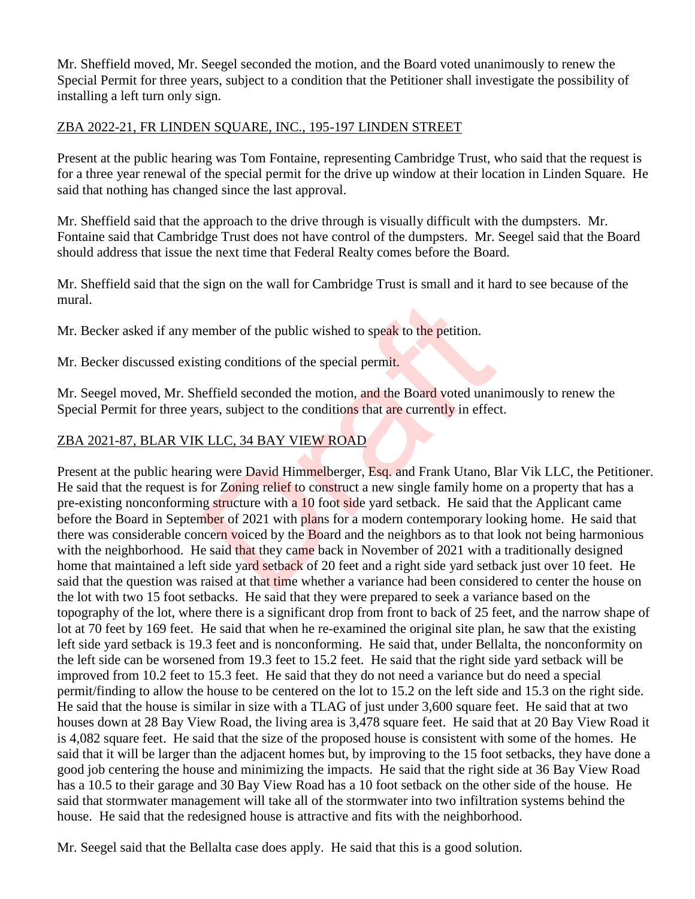Mr. Sheffield moved, Mr. Seegel seconded the motion, and the Board voted unanimously to renew the Special Permit for three years, subject to a condition that the Petitioner shall investigate the possibility of installing a left turn only sign.

#### ZBA 2022-21, FR LINDEN SQUARE, INC., 195-197 LINDEN STREET

Present at the public hearing was Tom Fontaine, representing Cambridge Trust, who said that the request is for a three year renewal of the special permit for the drive up window at their location in Linden Square. He said that nothing has changed since the last approval.

Mr. Sheffield said that the approach to the drive through is visually difficult with the dumpsters. Mr. Fontaine said that Cambridge Trust does not have control of the dumpsters. Mr. Seegel said that the Board should address that issue the next time that Federal Realty comes before the Board.

Mr. Sheffield said that the sign on the wall for Cambridge Trust is small and it hard to see because of the mural.

Mr. Becker asked if any member of the public wished to speak to the petition.

Mr. Becker discussed existing conditions of the special permit.

Mr. Seegel moved, Mr. Sheffield seconded the motion, and the Board voted unanimously to renew the Special Permit for three years, subject to the conditions that are currently in effect.

# ZBA 2021-87, BLAR VIK LLC, 34 BAY VIEW ROAD

Present at the public hearing were David Himmelberger, Esq. and Frank Utano, Blar Vik LLC, the Petitioner. He said that the request is for Zoning relief to construct a new single family home on a property that has a pre-existing nonconforming structure with a 10 foot side yard setback. He said that the Applicant came before the Board in September of 2021 with plans for a modern contemporary looking home. He said that there was considerable concern voiced by the **Bo**ard and the neighbors as to that look not being harmonious with the neighborhood. He said that they came back in November of 2021 with a traditionally designed home that maintained a left side yard setback of 20 feet and a right side yard setback just over 10 feet. He said that the question was raised at that time whether a variance had been considered to center the house on the lot with two 15 foot setbacks. He said that they were prepared to seek a variance based on the topography of the lot, where there is a significant drop from front to back of 25 feet, and the narrow shape of lot at 70 feet by 169 feet. He said that when he re-examined the original site plan, he saw that the existing left side yard setback is 19.3 feet and is nonconforming. He said that, under Bellalta, the nonconformity on the left side can be worsened from 19.3 feet to 15.2 feet. He said that the right side yard setback will be improved from 10.2 feet to 15.3 feet. He said that they do not need a variance but do need a special permit/finding to allow the house to be centered on the lot to 15.2 on the left side and 15.3 on the right side. He said that the house is similar in size with a TLAG of just under 3,600 square feet. He said that at two houses down at 28 Bay View Road, the living area is 3,478 square feet. He said that at 20 Bay View Road it is 4,082 square feet. He said that the size of the proposed house is consistent with some of the homes. He said that it will be larger than the adjacent homes but, by improving to the 15 foot setbacks, they have done a good job centering the house and minimizing the impacts. He said that the right side at 36 Bay View Road has a 10.5 to their garage and 30 Bay View Road has a 10 foot setback on the other side of the house. He said that stormwater management will take all of the stormwater into two infiltration systems behind the house. He said that the redesigned house is attractive and fits with the neighborhood. nember of the public wished to speak to the petition.<br>
ting conditions of the special permit.<br>
eeffield seconded the motion, and the Board voted unan<br>
rars, subject to the conditions that are currently in effect<br>
SLLC, 34

Mr. Seegel said that the Bellalta case does apply. He said that this is a good solution.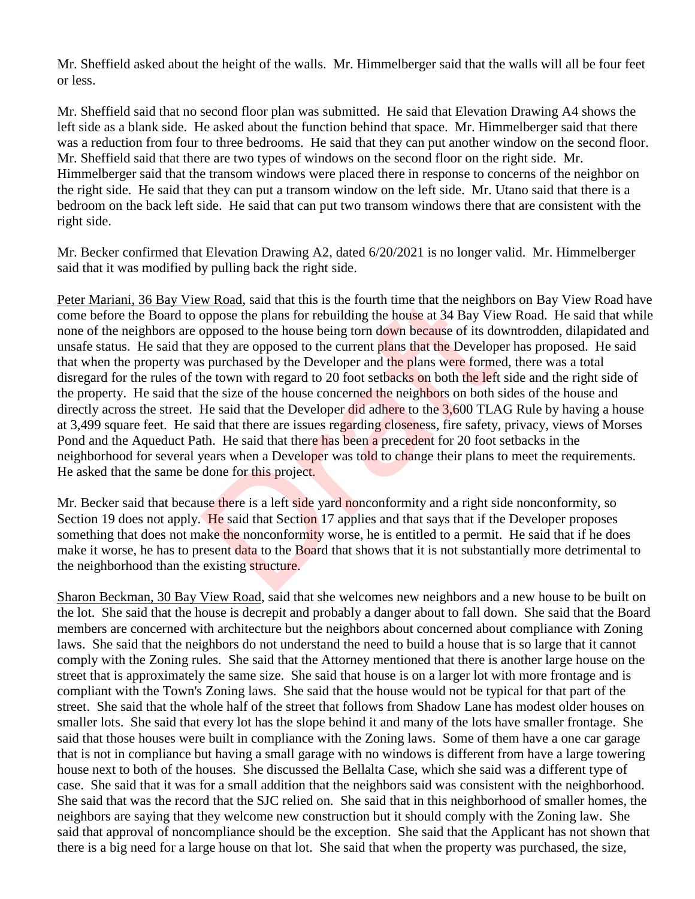Mr. Sheffield asked about the height of the walls. Mr. Himmelberger said that the walls will all be four feet or less.

Mr. Sheffield said that no second floor plan was submitted. He said that Elevation Drawing A4 shows the left side as a blank side. He asked about the function behind that space. Mr. Himmelberger said that there was a reduction from four to three bedrooms. He said that they can put another window on the second floor. Mr. Sheffield said that there are two types of windows on the second floor on the right side. Mr. Himmelberger said that the transom windows were placed there in response to concerns of the neighbor on the right side. He said that they can put a transom window on the left side. Mr. Utano said that there is a bedroom on the back left side. He said that can put two transom windows there that are consistent with the right side.

Mr. Becker confirmed that Elevation Drawing A2, dated 6/20/2021 is no longer valid. Mr. Himmelberger said that it was modified by pulling back the right side.

Peter Mariani, 36 Bay View Road, said that this is the fourth time that the neighbors on Bay View Road have come before the Board to oppose the plans for rebuilding the house at 34 Bay View Road. He said that while none of the neighbors are opposed to the house being torn down because of its downtrodden, dilapidated and unsafe status. He said that they are opposed to the current plans that the Developer has proposed. He said that when the property was purchased by the Developer and the plans were formed, there was a total disregard for the rules of the town with regard to 20 foot setbacks on both the left side and the right side of the property. He said that the size of the house concerned the neighbors on both sides of the house and directly across the street. He said that the Developer did adhere to the 3,600 TLAG Rule by having a house at 3,499 square feet. He said that there are issues regarding closeness, fire safety, privacy, views of Morses Pond and the Aqueduct Path. He said that there has been a precedent for 20 foot setbacks in the neighborhood for several years when a Developer was told to change their plans to meet the requirements. He asked that the same be done for this project. w Road, said that this is the fourth time that the neighbor<br>popose the plans for rebuilding the house at 34 Bay Vie<br>opposed to the house being torn down because of its do<br>they are opposed to the current plans that the Dev

Mr. Becker said that because there is a left side yard nonconformity and a right side nonconformity, so Section 19 does not apply. He said that Section 17 applies and that says that if the Developer proposes something that does not make the nonconformity worse, he is entitled to a permit. He said that if he does make it worse, he has to present data to the Board that shows that it is not substantially more detrimental to the neighborhood than the existing structure.

Sharon Beckman, 30 Bay View Road, said that she welcomes new neighbors and a new house to be built on the lot. She said that the house is decrepit and probably a danger about to fall down. She said that the Board members are concerned with architecture but the neighbors about concerned about compliance with Zoning laws. She said that the neighbors do not understand the need to build a house that is so large that it cannot comply with the Zoning rules. She said that the Attorney mentioned that there is another large house on the street that is approximately the same size. She said that house is on a larger lot with more frontage and is compliant with the Town's Zoning laws. She said that the house would not be typical for that part of the street. She said that the whole half of the street that follows from Shadow Lane has modest older houses on smaller lots. She said that every lot has the slope behind it and many of the lots have smaller frontage. She said that those houses were built in compliance with the Zoning laws. Some of them have a one car garage that is not in compliance but having a small garage with no windows is different from have a large towering house next to both of the houses. She discussed the Bellalta Case, which she said was a different type of case. She said that it was for a small addition that the neighbors said was consistent with the neighborhood. She said that was the record that the SJC relied on. She said that in this neighborhood of smaller homes, the neighbors are saying that they welcome new construction but it should comply with the Zoning law. She said that approval of noncompliance should be the exception. She said that the Applicant has not shown that there is a big need for a large house on that lot. She said that when the property was purchased, the size,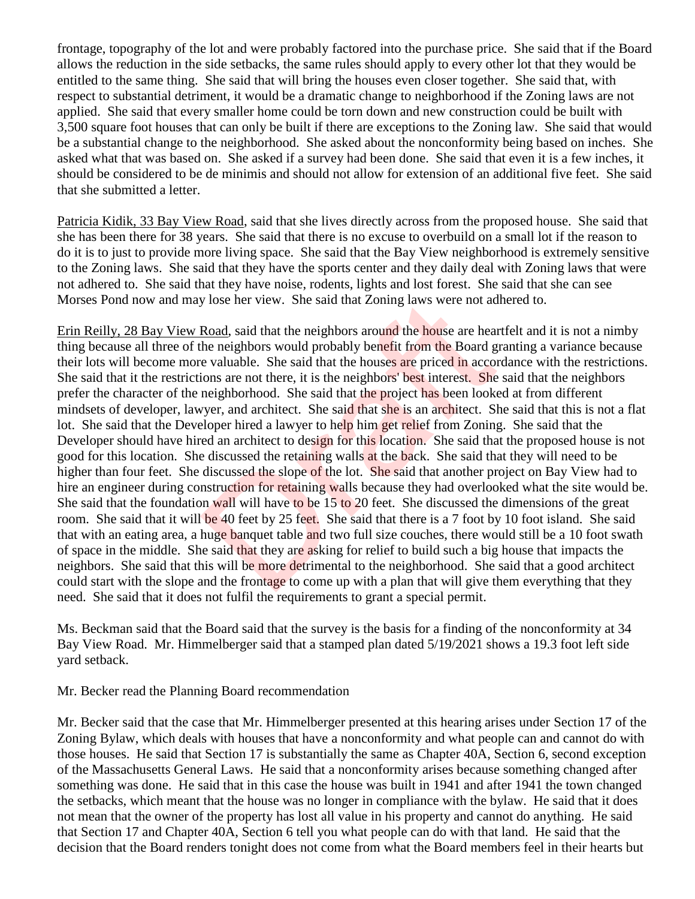frontage, topography of the lot and were probably factored into the purchase price. She said that if the Board allows the reduction in the side setbacks, the same rules should apply to every other lot that they would be entitled to the same thing. She said that will bring the houses even closer together. She said that, with respect to substantial detriment, it would be a dramatic change to neighborhood if the Zoning laws are not applied. She said that every smaller home could be torn down and new construction could be built with 3,500 square foot houses that can only be built if there are exceptions to the Zoning law. She said that would be a substantial change to the neighborhood. She asked about the nonconformity being based on inches. She asked what that was based on. She asked if a survey had been done. She said that even it is a few inches, it should be considered to be de minimis and should not allow for extension of an additional five feet. She said that she submitted a letter.

Patricia Kidik, 33 Bay View Road, said that she lives directly across from the proposed house. She said that she has been there for 38 years. She said that there is no excuse to overbuild on a small lot if the reason to do it is to just to provide more living space. She said that the Bay View neighborhood is extremely sensitive to the Zoning laws. She said that they have the sports center and they daily deal with Zoning laws that were not adhered to. She said that they have noise, rodents, lights and lost forest. She said that she can see Morses Pond now and may lose her view. She said that Zoning laws were not adhered to.

Erin Reilly, 28 Bay View Road, said that the neighbors around the house are heartfelt and it is not a nimby thing because all three of the neighbors would probably benefit from the Board granting a variance because their lots will become more valuable. She said that the houses are priced in accordance with the restrictions. She said that it the restrictions are not there, it is the neighbors' best interest. She said that the neighbors prefer the character of the neighborhood. She said that the project has been looked at from different mindsets of developer, lawyer, and architect. She said that she is an architect. She said that this is not a flat lot. She said that the Developer hired a lawyer to help him get relief from Zoning. She said that the Developer should have hired an architect to design for this location. She said that the proposed house is not good for this location. She discussed the retaining walls at the back. She said that they will need to be higher than four feet. She discussed the slope of the lot. She said that another project on Bay View had to hire an engineer during construction for retaining walls because they had overlooked what the site would be. She said that the foundation wall will have to be 15 to 20 feet. She discussed the dimensions of the great room. She said that it will be 40 feet by 25 feet. She said that there is a 7 foot by 10 foot island. She said that with an eating area, a huge banquet table and two full size couches, there would still be a 10 foot swath of space in the middle. She said that they are asking for relief to build such a big house that impacts the neighbors. She said that this will be more detrimental to the neighborhood. She said that a good architect could start with the slope and the frontage to come up with a plan that will give them everything that they need. She said that it does not fulfil the requirements to grant a special permit. y lose her view. She said that Zoning laws were not ad<br>
<u>Road</u>, said that the neighbors around the house are hear<br>
the neighbors would probably benefit from the Board g<br>
e valuable. She said that the houses are priced in a

Ms. Beckman said that the Board said that the survey is the basis for a finding of the nonconformity at 34 Bay View Road. Mr. Himmelberger said that a stamped plan dated 5/19/2021 shows a 19.3 foot left side yard setback.

Mr. Becker read the Planning Board recommendation

Mr. Becker said that the case that Mr. Himmelberger presented at this hearing arises under Section 17 of the Zoning Bylaw, which deals with houses that have a nonconformity and what people can and cannot do with those houses. He said that Section 17 is substantially the same as Chapter 40A, Section 6, second exception of the Massachusetts General Laws. He said that a nonconformity arises because something changed after something was done. He said that in this case the house was built in 1941 and after 1941 the town changed the setbacks, which meant that the house was no longer in compliance with the bylaw. He said that it does not mean that the owner of the property has lost all value in his property and cannot do anything. He said that Section 17 and Chapter 40A, Section 6 tell you what people can do with that land. He said that the decision that the Board renders tonight does not come from what the Board members feel in their hearts but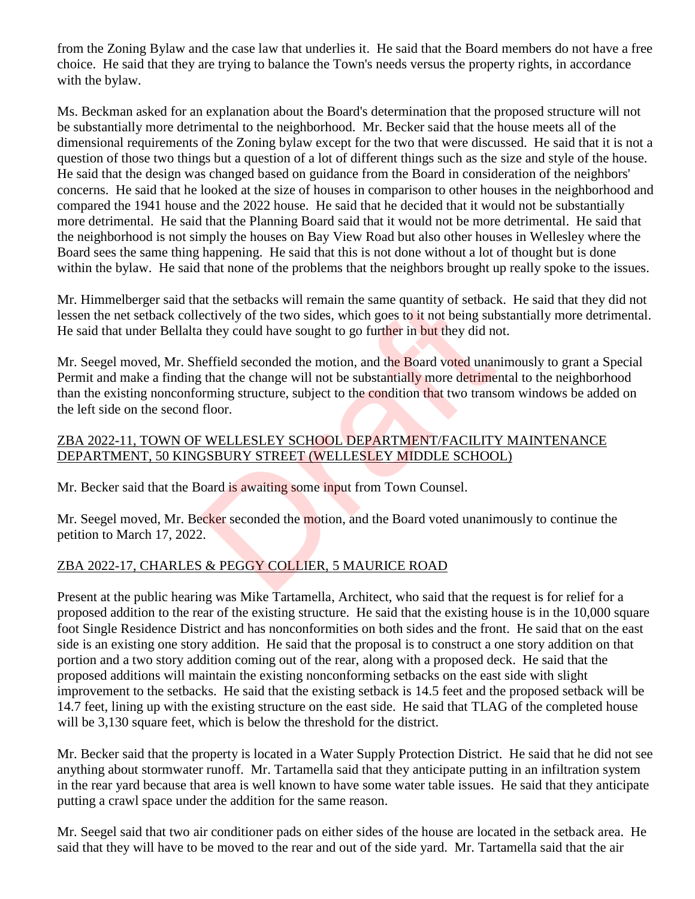from the Zoning Bylaw and the case law that underlies it. He said that the Board members do not have a free choice. He said that they are trying to balance the Town's needs versus the property rights, in accordance with the bylaw.

Ms. Beckman asked for an explanation about the Board's determination that the proposed structure will not be substantially more detrimental to the neighborhood. Mr. Becker said that the house meets all of the dimensional requirements of the Zoning bylaw except for the two that were discussed. He said that it is not a question of those two things but a question of a lot of different things such as the size and style of the house. He said that the design was changed based on guidance from the Board in consideration of the neighbors' concerns. He said that he looked at the size of houses in comparison to other houses in the neighborhood and compared the 1941 house and the 2022 house. He said that he decided that it would not be substantially more detrimental. He said that the Planning Board said that it would not be more detrimental. He said that the neighborhood is not simply the houses on Bay View Road but also other houses in Wellesley where the Board sees the same thing happening. He said that this is not done without a lot of thought but is done within the bylaw. He said that none of the problems that the neighbors brought up really spoke to the issues.

Mr. Himmelberger said that the setbacks will remain the same quantity of setback. He said that they did not lessen the net setback collectively of the two sides, which goes to it not being substantially more detrimental. He said that under Bellalta they could have sought to go further in but they did not.

Mr. Seegel moved, Mr. Sheffield seconded the motion, and the Board voted unanimously to grant a Special Permit and make a finding that the change will not be substantially more detrimental to the neighborhood than the existing nonconforming structure, subject to the condition that two transom windows be added on the left side on the second floor. at the setbacks will remain the same quantity of setback<br>ectively of the two sides, which goes to it not being sub-<br>they could have sought to go further in but they did not<br>effield seconded the motion, and the Board voted

#### ZBA 2022-11, TOWN OF WELLESLEY SCHOOL DEPARTMENT/FACILITY MAINTENANCE DEPARTMENT, 50 KINGSBURY STREET (WELLESLEY MIDDLE SCHOOL)

Mr. Becker said that the Board is awaiting some input from Town Counsel.

Mr. Seegel moved, Mr. Becker seconded the motion, and the Board voted unanimously to continue the petition to March 17, 2022.

# ZBA 2022-17, CHARLES & PEGGY COLLIER, 5 MAURICE ROAD

Present at the public hearing was Mike Tartamella, Architect, who said that the request is for relief for a proposed addition to the rear of the existing structure. He said that the existing house is in the 10,000 square foot Single Residence District and has nonconformities on both sides and the front. He said that on the east side is an existing one story addition. He said that the proposal is to construct a one story addition on that portion and a two story addition coming out of the rear, along with a proposed deck. He said that the proposed additions will maintain the existing nonconforming setbacks on the east side with slight improvement to the setbacks. He said that the existing setback is 14.5 feet and the proposed setback will be 14.7 feet, lining up with the existing structure on the east side. He said that TLAG of the completed house will be 3,130 square feet, which is below the threshold for the district.

Mr. Becker said that the property is located in a Water Supply Protection District. He said that he did not see anything about stormwater runoff. Mr. Tartamella said that they anticipate putting in an infiltration system in the rear yard because that area is well known to have some water table issues. He said that they anticipate putting a crawl space under the addition for the same reason.

Mr. Seegel said that two air conditioner pads on either sides of the house are located in the setback area. He said that they will have to be moved to the rear and out of the side yard. Mr. Tartamella said that the air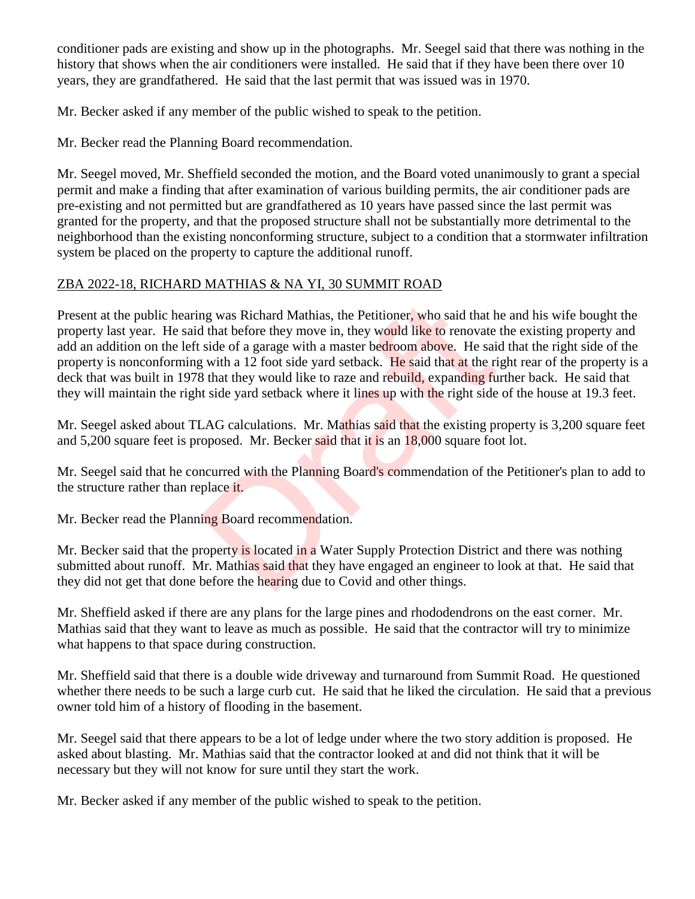conditioner pads are existing and show up in the photographs. Mr. Seegel said that there was nothing in the history that shows when the air conditioners were installed. He said that if they have been there over 10 years, they are grandfathered. He said that the last permit that was issued was in 1970.

Mr. Becker asked if any member of the public wished to speak to the petition.

Mr. Becker read the Planning Board recommendation.

Mr. Seegel moved, Mr. Sheffield seconded the motion, and the Board voted unanimously to grant a special permit and make a finding that after examination of various building permits, the air conditioner pads are pre-existing and not permitted but are grandfathered as 10 years have passed since the last permit was granted for the property, and that the proposed structure shall not be substantially more detrimental to the neighborhood than the existing nonconforming structure, subject to a condition that a stormwater infiltration system be placed on the property to capture the additional runoff.

# ZBA 2022-18, RICHARD MATHIAS & NA YI, 30 SUMMIT ROAD

Present at the public hearing was Richard Mathias, the Petitioner, who said that he and his wife bought the property last year. He said that before they move in, they would like to renovate the existing property and add an addition on the left side of a garage with a master bedroom above. He said that the right side of the property is nonconforming with a 12 foot side yard setback. He said that at the right rear of the property is a deck that was built in 1978 that they would like to raze and rebuild, expanding further back. He said that they will maintain the right side yard setback where it lines up with the right side of the house at 19.3 feet. ng was Richard Mathias, the Petitioner, who said that h<br>
if that before they move in, they would like to renovate<br>
side of a garage with a master bedroom above. He said<br>
y with a 12 foot side yard setback. He said that at

Mr. Seegel asked about TLAG calculations. Mr. Mathias said that the existing property is 3,200 square feet and 5,200 square feet is proposed. Mr. Becker said that it is an 18,000 square foot lot.

Mr. Seegel said that he concurred with the Planning Board's commendation of the Petitioner's plan to add to the structure rather than replace it.

Mr. Becker read the Planning Board recommendation.

Mr. Becker said that the property is located in a Water Supply Protection District and there was nothing submitted about runoff. Mr. Mathias said that they have engaged an engineer to look at that. He said that they did not get that done before the hearing due to Covid and other things.

Mr. Sheffield asked if there are any plans for the large pines and rhododendrons on the east corner. Mr. Mathias said that they want to leave as much as possible. He said that the contractor will try to minimize what happens to that space during construction.

Mr. Sheffield said that there is a double wide driveway and turnaround from Summit Road. He questioned whether there needs to be such a large curb cut. He said that he liked the circulation. He said that a previous owner told him of a history of flooding in the basement.

Mr. Seegel said that there appears to be a lot of ledge under where the two story addition is proposed. He asked about blasting. Mr. Mathias said that the contractor looked at and did not think that it will be necessary but they will not know for sure until they start the work.

Mr. Becker asked if any member of the public wished to speak to the petition.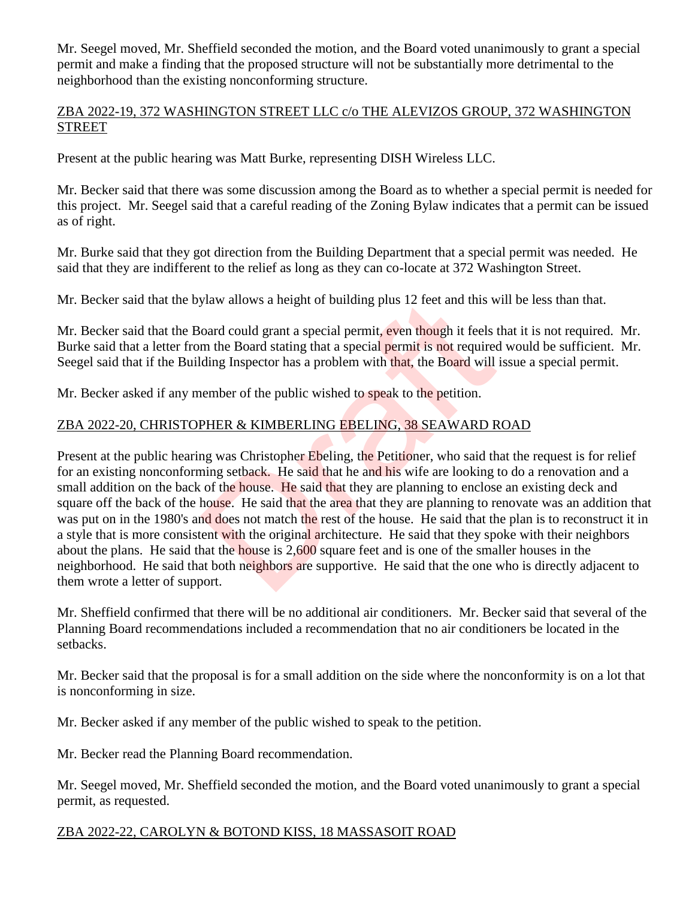Mr. Seegel moved, Mr. Sheffield seconded the motion, and the Board voted unanimously to grant a special permit and make a finding that the proposed structure will not be substantially more detrimental to the neighborhood than the existing nonconforming structure.

### ZBA 2022-19, 372 WASHINGTON STREET LLC c/o THE ALEVIZOS GROUP, 372 WASHINGTON STREET

Present at the public hearing was Matt Burke, representing DISH Wireless LLC.

Mr. Becker said that there was some discussion among the Board as to whether a special permit is needed for this project. Mr. Seegel said that a careful reading of the Zoning Bylaw indicates that a permit can be issued as of right.

Mr. Burke said that they got direction from the Building Department that a special permit was needed. He said that they are indifferent to the relief as long as they can co-locate at 372 Washington Street.

Mr. Becker said that the bylaw allows a height of building plus 12 feet and this will be less than that.

Mr. Becker said that the Board could grant a special permit, even though it feels that it is not required. Mr. Burke said that a letter from the Board stating that a special permit is not required would be sufficient. Mr. Seegel said that if the Building Inspector has a problem with that, the Board will issue a special permit.

Mr. Becker asked if any member of the public wished to speak to the petition.

# ZBA 2022-20, CHRISTOPHER & KIMBERLING EBELING, 38 SEAWARD ROAD

Present at the public hearing was Christopher Ebeling, the Petitioner, who said that the request is for relief for an existing nonconforming setback. He said that he and his wife are looking to do a renovation and a small addition on the back of the house. He said that they are planning to enclose an existing deck and square off the back of the house. He said that the area that they are planning to renovate was an addition that was put on in the 1980's and does not match the rest of the house. He said that the plan is to reconstruct it in a style that is more consistent with the original architecture. He said that they spoke with their neighbors about the plans. He said that the house is 2,600 square feet and is one of the smaller houses in the neighborhood. He said that both neighbors are supportive. He said that the one who is directly adjacent to them wrote a letter of support. ylaw allows a height of building plus 12 feet and this woord could grant a special permit, even though it feels in the Board stating that a special permit is not required ding Inspector has a problem with that, the Board w

Mr. Sheffield confirmed that there will be no additional air conditioners. Mr. Becker said that several of the Planning Board recommendations included a recommendation that no air conditioners be located in the setbacks.

Mr. Becker said that the proposal is for a small addition on the side where the nonconformity is on a lot that is nonconforming in size.

Mr. Becker asked if any member of the public wished to speak to the petition.

Mr. Becker read the Planning Board recommendation.

Mr. Seegel moved, Mr. Sheffield seconded the motion, and the Board voted unanimously to grant a special permit, as requested.

#### ZBA 2022-22, CAROLYN & BOTOND KISS, 18 MASSASOIT ROAD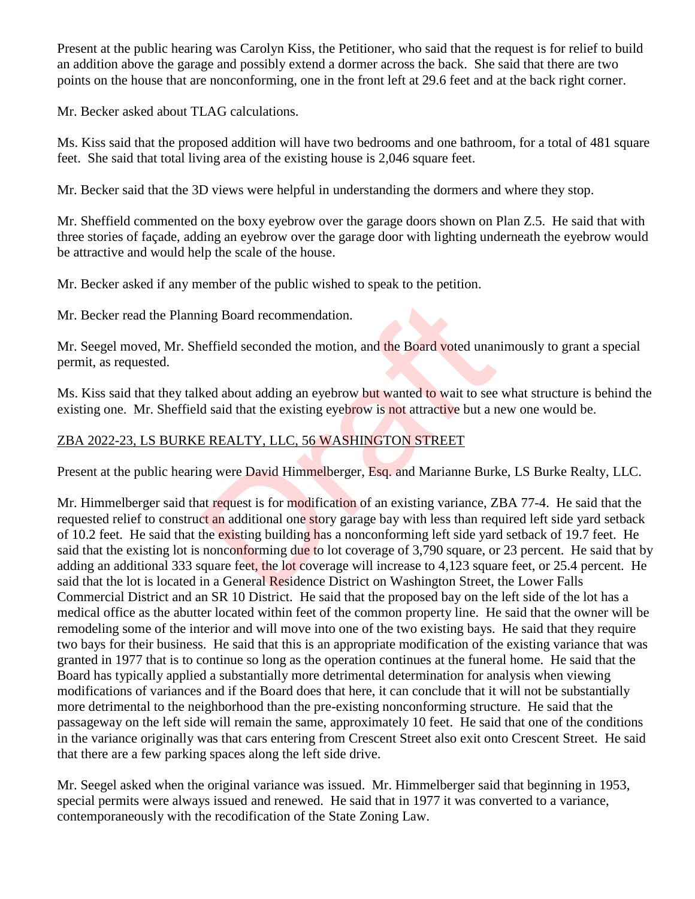Present at the public hearing was Carolyn Kiss, the Petitioner, who said that the request is for relief to build an addition above the garage and possibly extend a dormer across the back. She said that there are two points on the house that are nonconforming, one in the front left at 29.6 feet and at the back right corner.

Mr. Becker asked about TLAG calculations.

Ms. Kiss said that the proposed addition will have two bedrooms and one bathroom, for a total of 481 square feet. She said that total living area of the existing house is 2,046 square feet.

Mr. Becker said that the 3D views were helpful in understanding the dormers and where they stop.

Mr. Sheffield commented on the boxy eyebrow over the garage doors shown on Plan Z.5. He said that with three stories of façade, adding an eyebrow over the garage door with lighting underneath the eyebrow would be attractive and would help the scale of the house.

Mr. Becker asked if any member of the public wished to speak to the petition.

Mr. Becker read the Planning Board recommendation.

Mr. Seegel moved, Mr. Sheffield seconded the motion, and the Board voted unanimously to grant a special permit, as requested.

Ms. Kiss said that they talked about adding an eyebrow but wanted to wait to see what structure is behind the existing one. Mr. Sheffield said that the existing eyebrow is not attractive but a new one would be.

# ZBA 2022-23, LS BURKE REALTY, LLC, 56 WASHINGTON STREET

Present at the public hearing were David Himmelberger, Esq. and Marianne Burke, LS Burke Realty, LLC.

Mr. Himmelberger said that request is for modification of an existing variance, ZBA 77-4. He said that the requested relief to construct an additional one story garage bay with less than required left side yard setback of 10.2 feet. He said that the existing building has a nonconforming left side yard setback of 19.7 feet. He said that the existing lot is nonconforming due to lot coverage of 3,790 square, or 23 percent. He said that by adding an additional 333 square feet, the lot coverage will increase to 4,123 square feet, or 25.4 percent. He said that the lot is located in a General Residence District on Washington Street, the Lower Falls Commercial District and an SR 10 District. He said that the proposed bay on the left side of the lot has a medical office as the abutter located within feet of the common property line. He said that the owner will be remodeling some of the interior and will move into one of the two existing bays. He said that they require two bays for their business. He said that this is an appropriate modification of the existing variance that was granted in 1977 that is to continue so long as the operation continues at the funeral home. He said that the Board has typically applied a substantially more detrimental determination for analysis when viewing modifications of variances and if the Board does that here, it can conclude that it will not be substantially more detrimental to the neighborhood than the pre-existing nonconforming structure. He said that the passageway on the left side will remain the same, approximately 10 feet. He said that one of the conditions in the variance originally was that cars entering from Crescent Street also exit onto Crescent Street. He said that there are a few parking spaces along the left side drive. ing Board recommendation.<br>
effield seconded the motion, and the Board voted unan<br>
ked about adding an eyebrow but wanted to wait to see<br>
d said that the existing eyebrow is not attractive but a r<br>
E REALTY, LLC, 56 WASHING

Mr. Seegel asked when the original variance was issued. Mr. Himmelberger said that beginning in 1953, special permits were always issued and renewed. He said that in 1977 it was converted to a variance, contemporaneously with the recodification of the State Zoning Law.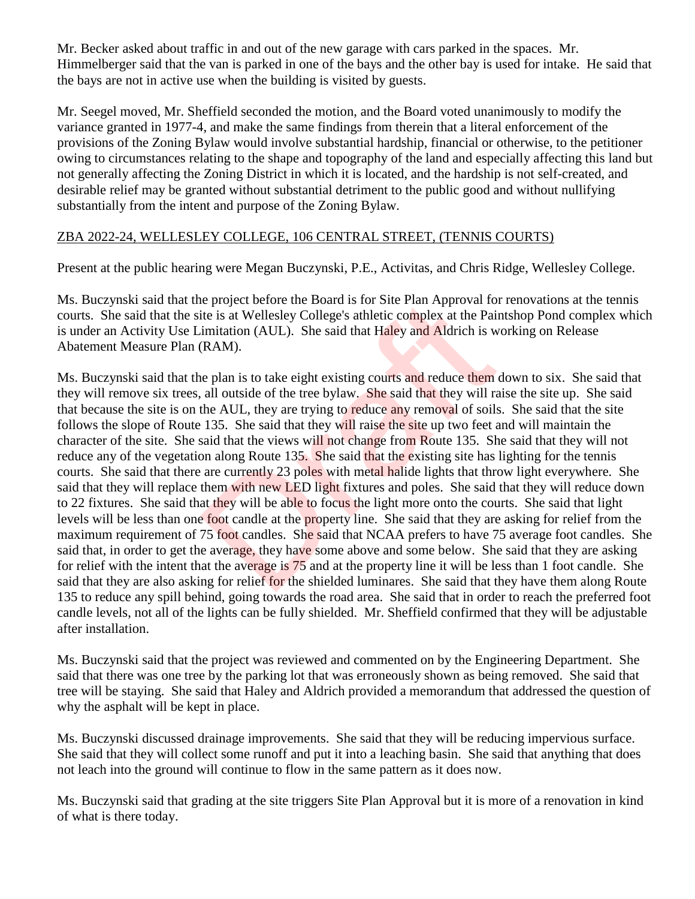Mr. Becker asked about traffic in and out of the new garage with cars parked in the spaces. Mr. Himmelberger said that the van is parked in one of the bays and the other bay is used for intake. He said that the bays are not in active use when the building is visited by guests.

Mr. Seegel moved, Mr. Sheffield seconded the motion, and the Board voted unanimously to modify the variance granted in 1977-4, and make the same findings from therein that a literal enforcement of the provisions of the Zoning Bylaw would involve substantial hardship, financial or otherwise, to the petitioner owing to circumstances relating to the shape and topography of the land and especially affecting this land but not generally affecting the Zoning District in which it is located, and the hardship is not self-created, and desirable relief may be granted without substantial detriment to the public good and without nullifying substantially from the intent and purpose of the Zoning Bylaw.

# ZBA 2022-24, WELLESLEY COLLEGE, 106 CENTRAL STREET, (TENNIS COURTS)

Present at the public hearing were Megan Buczynski, P.E., Activitas, and Chris Ridge, Wellesley College.

Ms. Buczynski said that the project before the Board is for Site Plan Approval for renovations at the tennis courts. She said that the site is at Wellesley College's athletic complex at the Paintshop Pond complex which is under an Activity Use Limitation (AUL). She said that Haley and Aldrich is working on Release Abatement Measure Plan (RAM).

Ms. Buczynski said that the plan is to take eight existing courts and reduce them down to six. She said that they will remove six trees, all outside of the tree bylaw. She said that they will raise the site up. She said that because the site is on the AUL, they are trying to reduce any removal of soils. She said that the site follows the slope of Route 135. She said that they will raise the site up two feet and will maintain the character of the site. She said that the views will not change from Route 135. She said that they will not reduce any of the vegetation along Route 135. She said that the existing site has lighting for the tennis courts. She said that there are currently 23 poles with metal halide lights that throw light everywhere. She said that they will replace them with new LED light fixtures and poles. She said that they will reduce down to 22 fixtures. She said that they will be able to focus the light more onto the courts. She said that light levels will be less than one foot candle at the property line. She said that they are asking for relief from the maximum requirement of 75 foot candles. She said that NCAA prefers to have 75 average foot candles. She said that, in order to get the average, they have some above and some below. She said that they are asking for relief with the intent that the average is 75 and at the property line it will be less than 1 foot candle. She said that they are also asking for relief for the shielded luminares. She said that they have them along Route 135 to reduce any spill behind, going towards the road area. She said that in order to reach the preferred foot candle levels, not all of the lights can be fully shielded. Mr. Sheffield confirmed that they will be adjustable after installation. is at Wellesley College's athletic complex at the Pair and Approval to ite is at Wellesley College's athletic complex at the Pai imitation (AUL). She said that Haley and Aldrich is wells. (RAM).<br>
RAM).<br>
are plan is to take

Ms. Buczynski said that the project was reviewed and commented on by the Engineering Department. She said that there was one tree by the parking lot that was erroneously shown as being removed. She said that tree will be staying. She said that Haley and Aldrich provided a memorandum that addressed the question of why the asphalt will be kept in place.

Ms. Buczynski discussed drainage improvements. She said that they will be reducing impervious surface. She said that they will collect some runoff and put it into a leaching basin. She said that anything that does not leach into the ground will continue to flow in the same pattern as it does now.

Ms. Buczynski said that grading at the site triggers Site Plan Approval but it is more of a renovation in kind of what is there today.